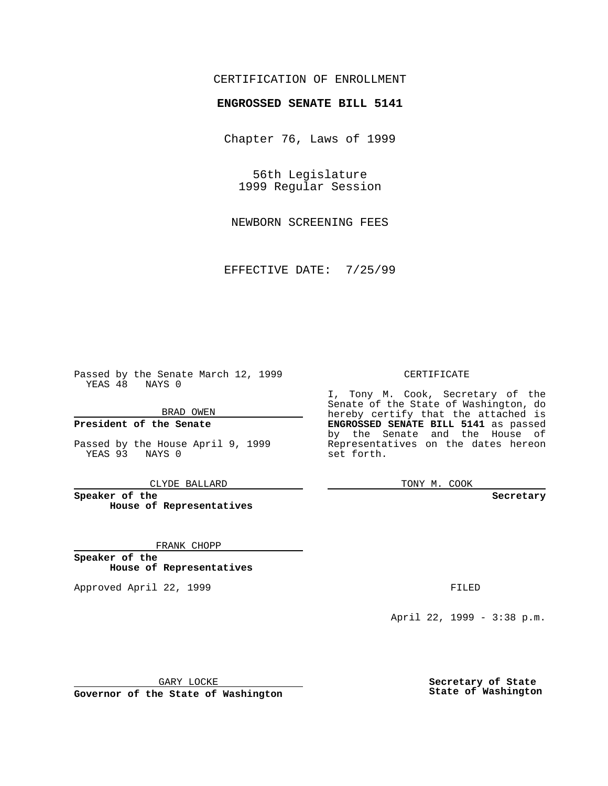# CERTIFICATION OF ENROLLMENT

# **ENGROSSED SENATE BILL 5141**

Chapter 76, Laws of 1999

56th Legislature 1999 Regular Session

NEWBORN SCREENING FEES

EFFECTIVE DATE: 7/25/99

Passed by the Senate March 12, 1999 YEAS 48 NAYS 0

BRAD OWEN

**President of the Senate**

Passed by the House April 9, 1999 YEAS 93 NAYS 0

CLYDE BALLARD

**Speaker of the House of Representatives**

FRANK CHOPP

**Speaker of the House of Representatives**

Approved April 22, 1999 **FILED** 

### CERTIFICATE

I, Tony M. Cook, Secretary of the Senate of the State of Washington, do hereby certify that the attached is **ENGROSSED SENATE BILL 5141** as passed by the Senate and the House of Representatives on the dates hereon set forth.

TONY M. COOK

#### **Secretary**

April 22, 1999 - 3:38 p.m.

GARY LOCKE

**Governor of the State of Washington**

**Secretary of State State of Washington**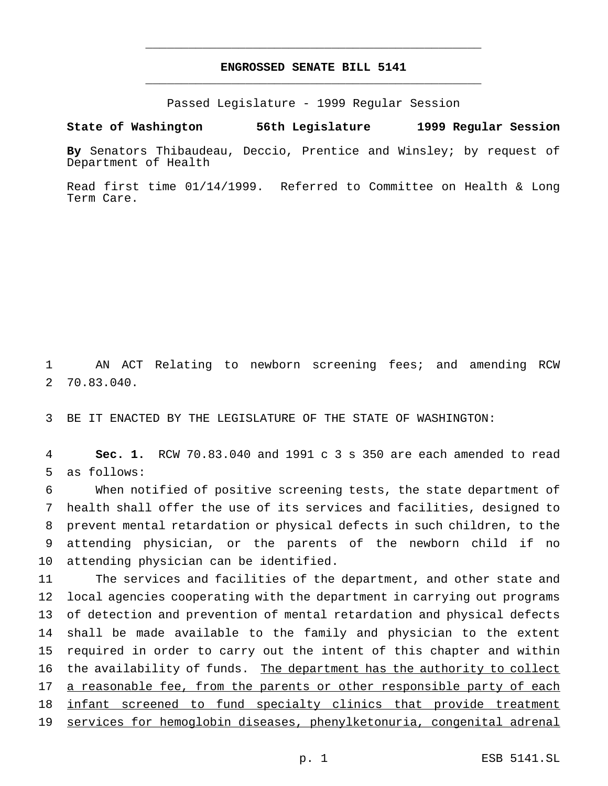# **ENGROSSED SENATE BILL 5141** \_\_\_\_\_\_\_\_\_\_\_\_\_\_\_\_\_\_\_\_\_\_\_\_\_\_\_\_\_\_\_\_\_\_\_\_\_\_\_\_\_\_\_\_\_\_\_

\_\_\_\_\_\_\_\_\_\_\_\_\_\_\_\_\_\_\_\_\_\_\_\_\_\_\_\_\_\_\_\_\_\_\_\_\_\_\_\_\_\_\_\_\_\_\_

Passed Legislature - 1999 Regular Session

#### **State of Washington 56th Legislature 1999 Regular Session**

**By** Senators Thibaudeau, Deccio, Prentice and Winsley; by request of Department of Health

Read first time 01/14/1999. Referred to Committee on Health & Long Term Care.

1 AN ACT Relating to newborn screening fees; and amending RCW 2 70.83.040.

3 BE IT ENACTED BY THE LEGISLATURE OF THE STATE OF WASHINGTON:

4 **Sec. 1.** RCW 70.83.040 and 1991 c 3 s 350 are each amended to read 5 as follows:

 When notified of positive screening tests, the state department of health shall offer the use of its services and facilities, designed to prevent mental retardation or physical defects in such children, to the attending physician, or the parents of the newborn child if no attending physician can be identified.

 The services and facilities of the department, and other state and local agencies cooperating with the department in carrying out programs of detection and prevention of mental retardation and physical defects shall be made available to the family and physician to the extent required in order to carry out the intent of this chapter and within 16 the availability of funds. The department has the authority to collect 17 a reasonable fee, from the parents or other responsible party of each 18 infant screened to fund specialty clinics that provide treatment services for hemoglobin diseases, phenylketonuria, congenital adrenal